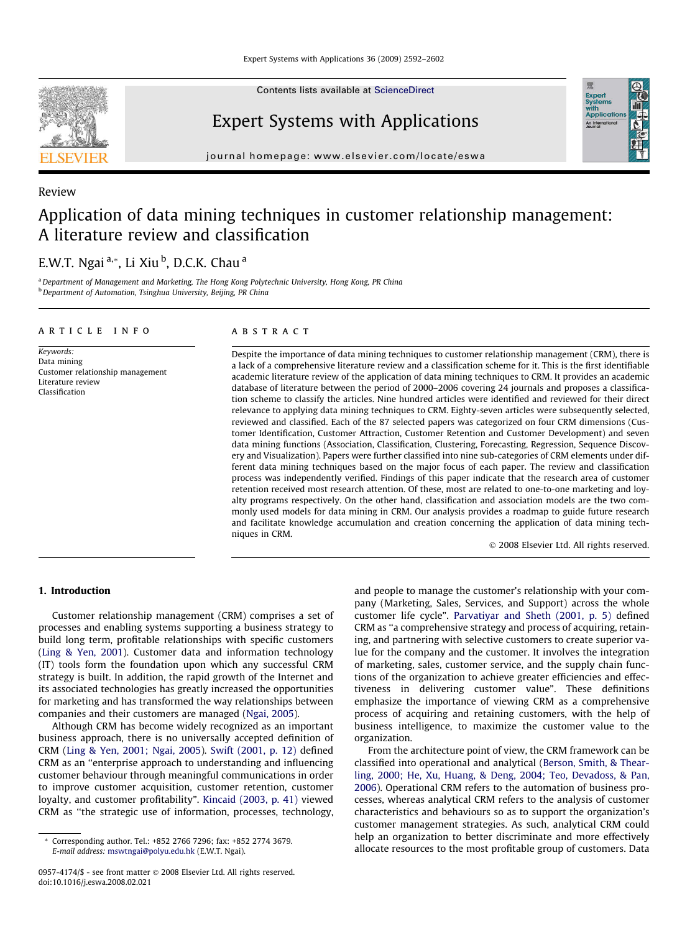Review

Contents lists available at [ScienceDirect](http://www.sciencedirect.com/science/journal/09574174)

# Expert Systems with Applications

journal homepage: [www.elsevier.com/locate/eswa](http://www.elsevier.com/locate/eswa)

# Application of data mining techniques in customer relationship management: A literature review and classification

# E.W.T. Ngai <sup>a,</sup>\*, Li Xiu <sup>b</sup>, D.C.K. Chau <sup>a</sup>

<sup>a</sup> Department of Management and Marketing, The Hong Kong Polytechnic University, Hong Kong, PR China **b** Department of Automation, Tsinghua University, Beijing, PR China

#### article info

Keywords: Data mining Customer relationship management Literature review Classification

#### **ABSTRACT**

Despite the importance of data mining techniques to customer relationship management (CRM), there is a lack of a comprehensive literature review and a classification scheme for it. This is the first identifiable academic literature review of the application of data mining techniques to CRM. It provides an academic database of literature between the period of 2000–2006 covering 24 journals and proposes a classification scheme to classify the articles. Nine hundred articles were identified and reviewed for their direct relevance to applying data mining techniques to CRM. Eighty-seven articles were subsequently selected, reviewed and classified. Each of the 87 selected papers was categorized on four CRM dimensions (Customer Identification, Customer Attraction, Customer Retention and Customer Development) and seven data mining functions (Association, Classification, Clustering, Forecasting, Regression, Sequence Discovery and Visualization). Papers were further classified into nine sub-categories of CRM elements under different data mining techniques based on the major focus of each paper. The review and classification process was independently verified. Findings of this paper indicate that the research area of customer retention received most research attention. Of these, most are related to one-to-one marketing and loyalty programs respectively. On the other hand, classification and association models are the two commonly used models for data mining in CRM. Our analysis provides a roadmap to guide future research and facilitate knowledge accumulation and creation concerning the application of data mining techniques in CRM.

- 2008 Elsevier Ltd. All rights reserved.

**Exper**<br>Syster

## 1. Introduction

Customer relationship management (CRM) comprises a set of processes and enabling systems supporting a business strategy to build long term, profitable relationships with specific customers ([Ling & Yen, 2001\)](#page-9-0). Customer data and information technology (IT) tools form the foundation upon which any successful CRM strategy is built. In addition, the rapid growth of the Internet and its associated technologies has greatly increased the opportunities for marketing and has transformed the way relationships between companies and their customers are managed ([Ngai, 2005](#page-9-0)).

Although CRM has become widely recognized as an important business approach, there is no universally accepted definition of CRM ([Ling & Yen, 2001; Ngai, 2005](#page-9-0)). [Swift \(2001, p. 12\)](#page-9-0) defined CRM as an ''enterprise approach to understanding and influencing customer behaviour through meaningful communications in order to improve customer acquisition, customer retention, customer loyalty, and customer profitability". [Kincaid \(2003, p. 41\)](#page-9-0) viewed CRM as ''the strategic use of information, processes, technology, and people to manage the customer's relationship with your company (Marketing, Sales, Services, and Support) across the whole customer life cycle". [Parvatiyar and Sheth \(2001, p. 5\)](#page-9-0) defined CRM as ''a comprehensive strategy and process of acquiring, retaining, and partnering with selective customers to create superior value for the company and the customer. It involves the integration of marketing, sales, customer service, and the supply chain functions of the organization to achieve greater efficiencies and effectiveness in delivering customer value". These definitions emphasize the importance of viewing CRM as a comprehensive process of acquiring and retaining customers, with the help of business intelligence, to maximize the customer value to the organization.

From the architecture point of view, the CRM framework can be classified into operational and analytical [\(Berson, Smith, & Thear](#page-8-0)[ling, 2000; He, Xu, Huang, & Deng, 2004; Teo, Devadoss, & Pan,](#page-8-0) [2006\)](#page-8-0). Operational CRM refers to the automation of business processes, whereas analytical CRM refers to the analysis of customer characteristics and behaviours so as to support the organization's customer management strategies. As such, analytical CRM could help an organization to better discriminate and more effectively allocate resources to the most profitable group of customers. Data

<sup>\*</sup> Corresponding author. Tel.: +852 2766 7296; fax: +852 2774 3679. E-mail address: [mswtngai@polyu.edu.hk](mailto:mswtngai@polyu.edu.hk) (E.W.T. Ngai).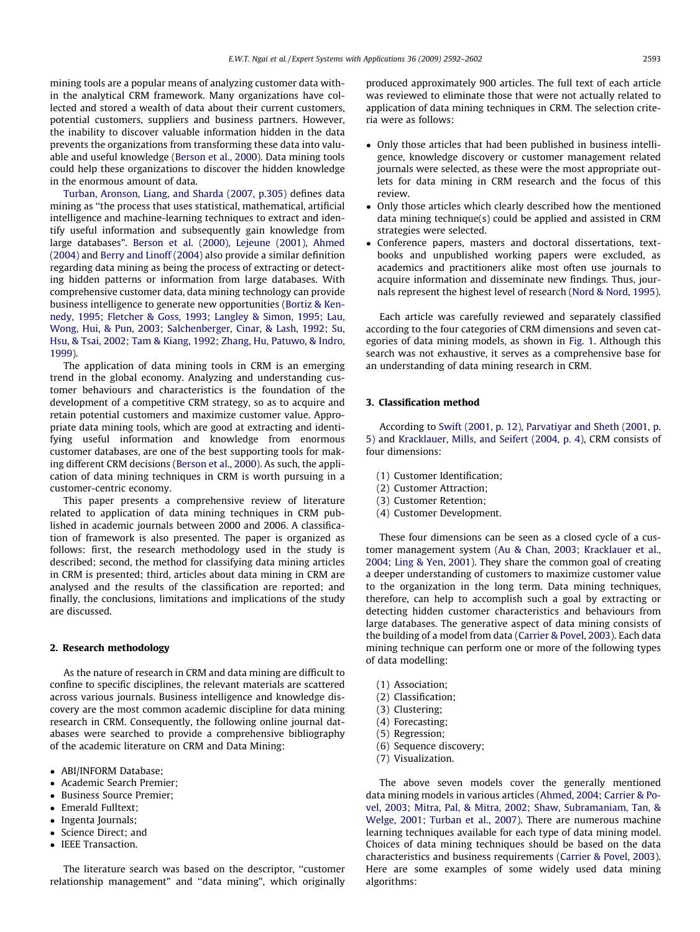mining tools are a popular means of analyzing customer data within the analytical CRM framework. Many organizations have collected and stored a wealth of data about their current customers, potential customers, suppliers and business partners. However, the inability to discover valuable information hidden in the data prevents the organizations from transforming these data into valuable and useful knowledge [\(Berson et al., 2000\)](#page-8-0). Data mining tools could help these organizations to discover the hidden knowledge in the enormous amount of data.

[Turban, Aronson, Liang, and Sharda \(2007, p.305\)](#page-10-0) defines data mining as ''the process that uses statistical, mathematical, artificial intelligence and machine-learning techniques to extract and identify useful information and subsequently gain knowledge from large databases". [Berson et al. \(2000\), Lejeune \(2001\), Ahmed](#page-8-0) [\(2004\)](#page-8-0) and [Berry and Linoff \(2004\)](#page-8-0) also provide a similar definition regarding data mining as being the process of extracting or detecting hidden patterns or information from large databases. With comprehensive customer data, data mining technology can provide business intelligence to generate new opportunities [\(Bortiz & Ken](#page-8-0)[nedy, 1995; Fletcher & Goss, 1993; Langley & Simon, 1995; Lau,](#page-8-0) [Wong, Hui, & Pun, 2003; Salchenberger, Cinar, & Lash, 1992; Su,](#page-8-0) [Hsu, & Tsai, 2002; Tam & Kiang, 1992; Zhang, Hu, Patuwo, & Indro,](#page-8-0) [1999\)](#page-8-0).

The application of data mining tools in CRM is an emerging trend in the global economy. Analyzing and understanding customer behaviours and characteristics is the foundation of the development of a competitive CRM strategy, so as to acquire and retain potential customers and maximize customer value. Appropriate data mining tools, which are good at extracting and identifying useful information and knowledge from enormous customer databases, are one of the best supporting tools for making different CRM decisions [\(Berson et al., 2000](#page-8-0)). As such, the application of data mining techniques in CRM is worth pursuing in a customer-centric economy.

This paper presents a comprehensive review of literature related to application of data mining techniques in CRM published in academic journals between 2000 and 2006. A classification of framework is also presented. The paper is organized as follows: first, the research methodology used in the study is described; second, the method for classifying data mining articles in CRM is presented; third, articles about data mining in CRM are analysed and the results of the classification are reported; and finally, the conclusions, limitations and implications of the study are discussed.

#### 2. Research methodology

As the nature of research in CRM and data mining are difficult to confine to specific disciplines, the relevant materials are scattered across various journals. Business intelligence and knowledge discovery are the most common academic discipline for data mining research in CRM. Consequently, the following online journal databases were searched to provide a comprehensive bibliography of the academic literature on CRM and Data Mining:

- ABI/INFORM Database;
- Academic Search Premier;
- Business Source Premier;
- Emerald Fulltext;
- Ingenta Journals;
- Science Direct; and
- IEEE Transaction.

The literature search was based on the descriptor, ''customer relationship management" and ''data mining", which originally

produced approximately 900 articles. The full text of each article was reviewed to eliminate those that were not actually related to application of data mining techniques in CRM. The selection criteria were as follows:

- Only those articles that had been published in business intelligence, knowledge discovery or customer management related journals were selected, as these were the most appropriate outlets for data mining in CRM research and the focus of this review.
- Only those articles which clearly described how the mentioned data mining technique(s) could be applied and assisted in CRM strategies were selected.
- Conference papers, masters and doctoral dissertations, textbooks and unpublished working papers were excluded, as academics and practitioners alike most often use journals to acquire information and disseminate new findings. Thus, journals represent the highest level of research [\(Nord & Nord, 1995\)](#page-9-0).

Each article was carefully reviewed and separately classified according to the four categories of CRM dimensions and seven categories of data mining models, as shown in [Fig. 1](#page-2-0). Although this search was not exhaustive, it serves as a comprehensive base for an understanding of data mining research in CRM.

### 3. Classification method

According to [Swift \(2001, p. 12\), Parvatiyar and Sheth \(2001, p.](#page-9-0) [5\)](#page-9-0) and [Kracklauer, Mills, and Seifert \(2004, p. 4\),](#page-9-0) CRM consists of four dimensions:

- (1) Customer Identification;
- (2) Customer Attraction;
- (3) Customer Retention;
- (4) Customer Development.

These four dimensions can be seen as a closed cycle of a customer management system [\(Au & Chan, 2003; Kracklauer et al.,](#page-8-0) [2004; Ling & Yen, 2001\)](#page-8-0). They share the common goal of creating a deeper understanding of customers to maximize customer value to the organization in the long term. Data mining techniques, therefore, can help to accomplish such a goal by extracting or detecting hidden customer characteristics and behaviours from large databases. The generative aspect of data mining consists of the building of a model from data [\(Carrier & Povel, 2003\)](#page-8-0). Each data mining technique can perform one or more of the following types of data modelling:

- (1) Association;
- (2) Classification;
- (3) Clustering;
- (4) Forecasting;
- (5) Regression;
- (6) Sequence discovery;
- (7) Visualization.

The above seven models cover the generally mentioned data mining models in various articles ([Ahmed, 2004; Carrier & Po](#page-8-0)[vel, 2003; Mitra, Pal, & Mitra, 2002; Shaw, Subramaniam, Tan, &](#page-8-0) [Welge, 2001; Turban et al., 2007\)](#page-8-0). There are numerous machine learning techniques available for each type of data mining model. Choices of data mining techniques should be based on the data characteristics and business requirements ([Carrier & Povel, 2003\)](#page-8-0). Here are some examples of some widely used data mining algorithms: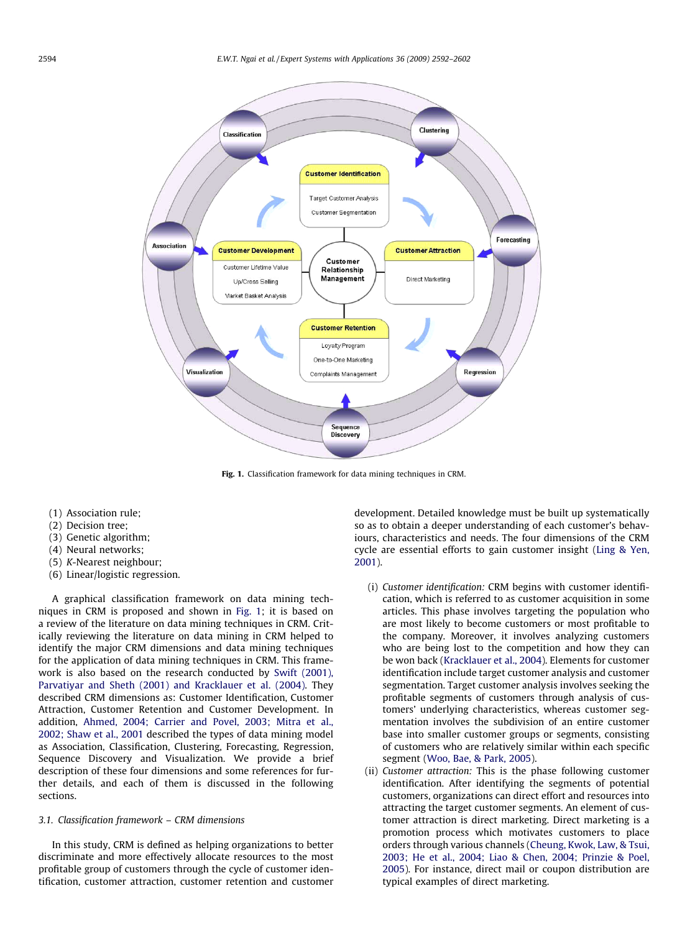<span id="page-2-0"></span>

Fig. 1. Classification framework for data mining techniques in CRM.

- (1) Association rule;
- (2) Decision tree;
- (3) Genetic algorithm;
- (4) Neural networks;
- (5) K-Nearest neighbour;
- (6) Linear/logistic regression.

A graphical classification framework on data mining techniques in CRM is proposed and shown in Fig. 1; it is based on a review of the literature on data mining techniques in CRM. Critically reviewing the literature on data mining in CRM helped to identify the major CRM dimensions and data mining techniques for the application of data mining techniques in CRM. This framework is also based on the research conducted by [Swift \(2001\),](#page-9-0) [Parvatiyar and Sheth \(2001\) and Kracklauer et al. \(2004\)](#page-9-0). They described CRM dimensions as: Customer Identification, Customer Attraction, Customer Retention and Customer Development. In addition, [Ahmed, 2004; Carrier and Povel, 2003; Mitra et al.,](#page-8-0) [2002; Shaw et al., 2001](#page-8-0) described the types of data mining model as Association, Classification, Clustering, Forecasting, Regression, Sequence Discovery and Visualization. We provide a brief description of these four dimensions and some references for further details, and each of them is discussed in the following sections.

#### 3.1. Classification framework – CRM dimensions

In this study, CRM is defined as helping organizations to better discriminate and more effectively allocate resources to the most profitable group of customers through the cycle of customer identification, customer attraction, customer retention and customer development. Detailed knowledge must be built up systematically so as to obtain a deeper understanding of each customer's behaviours, characteristics and needs. The four dimensions of the CRM cycle are essential efforts to gain customer insight ([Ling & Yen,](#page-9-0) [2001\)](#page-9-0).

- (i) Customer identification: CRM begins with customer identification, which is referred to as customer acquisition in some articles. This phase involves targeting the population who are most likely to become customers or most profitable to the company. Moreover, it involves analyzing customers who are being lost to the competition and how they can be won back ([Kracklauer et al., 2004](#page-9-0)). Elements for customer identification include target customer analysis and customer segmentation. Target customer analysis involves seeking the profitable segments of customers through analysis of customers' underlying characteristics, whereas customer segmentation involves the subdivision of an entire customer base into smaller customer groups or segments, consisting of customers who are relatively similar within each specific segment [\(Woo, Bae, & Park, 2005](#page-10-0)).
- (ii) Customer attraction: This is the phase following customer identification. After identifying the segments of potential customers, organizations can direct effort and resources into attracting the target customer segments. An element of customer attraction is direct marketing. Direct marketing is a promotion process which motivates customers to place orders through various channels [\(Cheung, Kwok, Law, & Tsui,](#page-8-0) [2003; He et al., 2004; Liao & Chen, 2004; Prinzie & Poel,](#page-8-0) [2005](#page-8-0)). For instance, direct mail or coupon distribution are typical examples of direct marketing.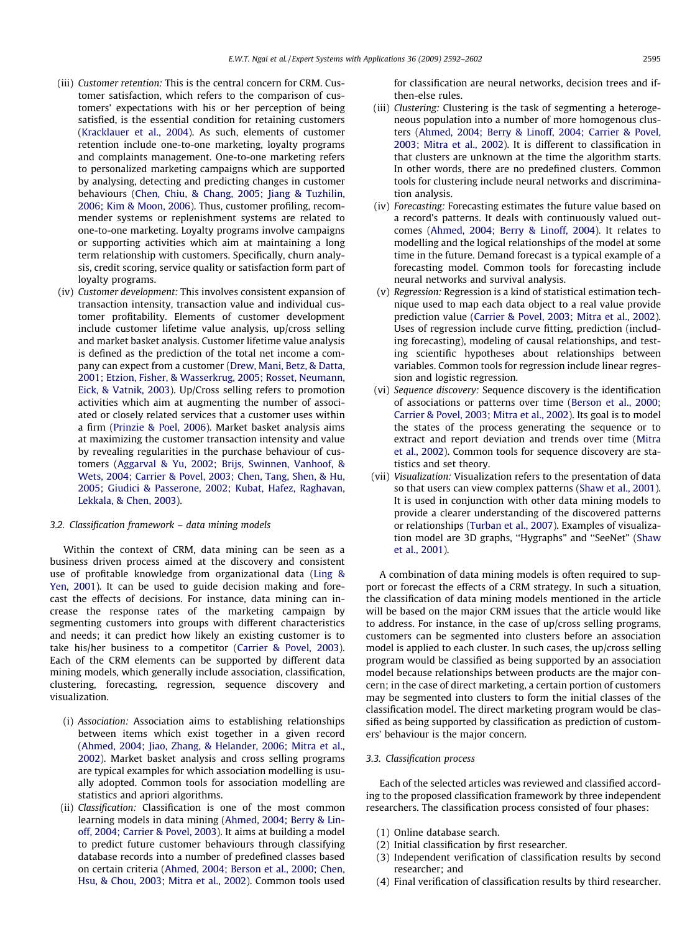- (iii) Customer retention: This is the central concern for CRM. Customer satisfaction, which refers to the comparison of customers' expectations with his or her perception of being satisfied, is the essential condition for retaining customers ([Kracklauer et al., 2004](#page-9-0)). As such, elements of customer retention include one-to-one marketing, loyalty programs and complaints management. One-to-one marketing refers to personalized marketing campaigns which are supported by analysing, detecting and predicting changes in customer behaviours [\(Chen, Chiu, & Chang, 2005; Jiang & Tuzhilin,](#page-8-0) [2006; Kim & Moon, 2006](#page-8-0)). Thus, customer profiling, recommender systems or replenishment systems are related to one-to-one marketing. Loyalty programs involve campaigns or supporting activities which aim at maintaining a long term relationship with customers. Specifically, churn analysis, credit scoring, service quality or satisfaction form part of loyalty programs.
- (iv) Customer development: This involves consistent expansion of transaction intensity, transaction value and individual customer profitability. Elements of customer development include customer lifetime value analysis, up/cross selling and market basket analysis. Customer lifetime value analysis is defined as the prediction of the total net income a company can expect from a customer ([Drew, Mani, Betz, & Datta,](#page-9-0) [2001; Etzion, Fisher, & Wasserkrug, 2005; Rosset, Neumann,](#page-9-0) [Eick, & Vatnik, 2003\)](#page-9-0). Up/Cross selling refers to promotion activities which aim at augmenting the number of associated or closely related services that a customer uses within a firm ([Prinzie & Poel, 2006](#page-9-0)). Market basket analysis aims at maximizing the customer transaction intensity and value by revealing regularities in the purchase behaviour of customers [\(Aggarval & Yu, 2002; Brijs, Swinnen, Vanhoof, &](#page-8-0) [Wets, 2004; Carrier & Povel, 2003; Chen, Tang, Shen, & Hu,](#page-8-0) [2005; Giudici & Passerone, 2002; Kubat, Hafez, Raghavan,](#page-8-0) [Lekkala, & Chen, 2003](#page-8-0)).

#### 3.2. Classification framework – data mining models

Within the context of CRM, data mining can be seen as a business driven process aimed at the discovery and consistent use of profitable knowledge from organizational data [\(Ling &](#page-9-0) [Yen, 2001\)](#page-9-0). It can be used to guide decision making and forecast the effects of decisions. For instance, data mining can increase the response rates of the marketing campaign by segmenting customers into groups with different characteristics and needs; it can predict how likely an existing customer is to take his/her business to a competitor ([Carrier & Povel, 2003\)](#page-8-0). Each of the CRM elements can be supported by different data mining models, which generally include association, classification, clustering, forecasting, regression, sequence discovery and visualization.

- (i) Association: Association aims to establishing relationships between items which exist together in a given record ([Ahmed, 2004; Jiao, Zhang, & Helander, 2006; Mitra et al.,](#page-8-0) [2002](#page-8-0)). Market basket analysis and cross selling programs are typical examples for which association modelling is usually adopted. Common tools for association modelling are statistics and apriori algorithms.
- (ii) Classification: Classification is one of the most common learning models in data mining ([Ahmed, 2004; Berry & Lin](#page-8-0)[off, 2004; Carrier & Povel, 2003](#page-8-0)). It aims at building a model to predict future customer behaviours through classifying database records into a number of predefined classes based on certain criteria [\(Ahmed, 2004; Berson et al., 2000; Chen,](#page-8-0) [Hsu, & Chou, 2003; Mitra et al., 2002\)](#page-8-0). Common tools used

for classification are neural networks, decision trees and ifthen-else rules.

- (iii) Clustering: Clustering is the task of segmenting a heterogeneous population into a number of more homogenous clusters ([Ahmed, 2004; Berry & Linoff, 2004; Carrier & Povel,](#page-8-0) [2003; Mitra et al., 2002\)](#page-8-0). It is different to classification in that clusters are unknown at the time the algorithm starts. In other words, there are no predefined clusters. Common tools for clustering include neural networks and discrimination analysis.
- (iv) Forecasting: Forecasting estimates the future value based on a record's patterns. It deals with continuously valued outcomes ([Ahmed, 2004; Berry & Linoff, 2004\)](#page-8-0). It relates to modelling and the logical relationships of the model at some time in the future. Demand forecast is a typical example of a forecasting model. Common tools for forecasting include neural networks and survival analysis.
- (v) Regression: Regression is a kind of statistical estimation technique used to map each data object to a real value provide prediction value ([Carrier & Povel, 2003; Mitra et al., 2002\)](#page-8-0). Uses of regression include curve fitting, prediction (including forecasting), modeling of causal relationships, and testing scientific hypotheses about relationships between variables. Common tools for regression include linear regression and logistic regression.
- (vi) Sequence discovery: Sequence discovery is the identification of associations or patterns over time [\(Berson et al., 2000;](#page-8-0) [Carrier & Povel, 2003; Mitra et al., 2002\)](#page-8-0). Its goal is to model the states of the process generating the sequence or to extract and report deviation and trends over time ([Mitra](#page-9-0) [et al., 2002\)](#page-9-0). Common tools for sequence discovery are statistics and set theory.
- (vii) Visualization: Visualization refers to the presentation of data so that users can view complex patterns [\(Shaw et al., 2001\)](#page-9-0). It is used in conjunction with other data mining models to provide a clearer understanding of the discovered patterns or relationships [\(Turban et al., 2007\)](#page-10-0). Examples of visualization model are 3D graphs, ''Hygraphs" and ''SeeNet" [\(Shaw](#page-9-0) [et al., 2001](#page-9-0)).

A combination of data mining models is often required to support or forecast the effects of a CRM strategy. In such a situation, the classification of data mining models mentioned in the article will be based on the major CRM issues that the article would like to address. For instance, in the case of up/cross selling programs, customers can be segmented into clusters before an association model is applied to each cluster. In such cases, the up/cross selling program would be classified as being supported by an association model because relationships between products are the major concern; in the case of direct marketing, a certain portion of customers may be segmented into clusters to form the initial classes of the classification model. The direct marketing program would be classified as being supported by classification as prediction of customers' behaviour is the major concern.

#### 3.3. Classification process

Each of the selected articles was reviewed and classified according to the proposed classification framework by three independent researchers. The classification process consisted of four phases:

- (1) Online database search.
- (2) Initial classification by first researcher.
- (3) Independent verification of classification results by second researcher; and
- (4) Final verification of classification results by third researcher.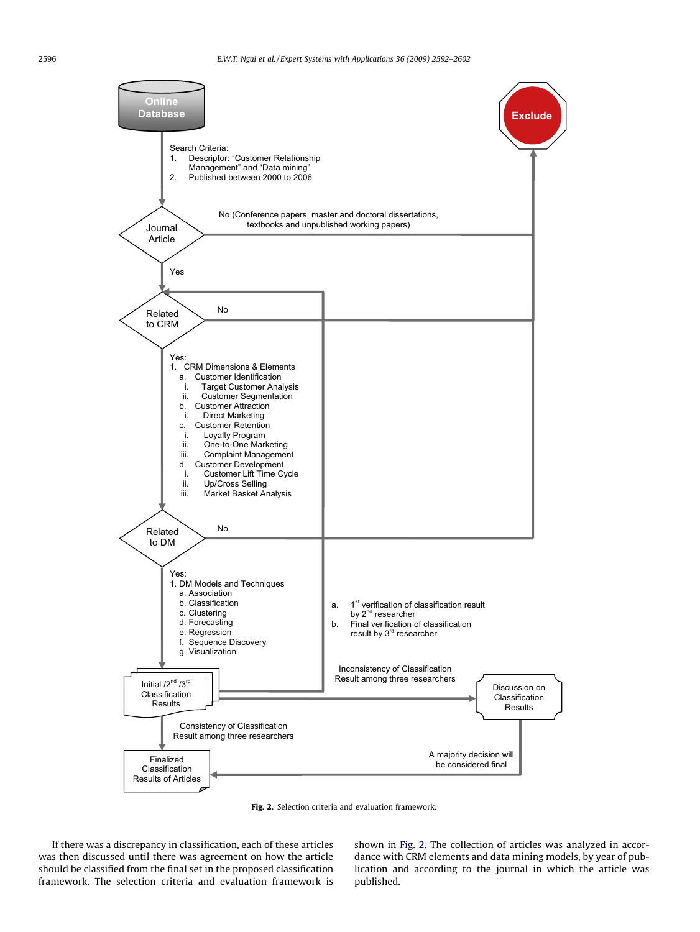

Fig. 2. Selection criteria and evaluation framework.

If there was a discrepancy in classification, each of these articles was then discussed until there was agreement on how the article should be classified from the final set in the proposed classification framework. The selection criteria and evaluation framework is shown in Fig. 2. The collection of articles was analyzed in accordance with CRM elements and data mining models, by year of publication and according to the journal in which the article was published.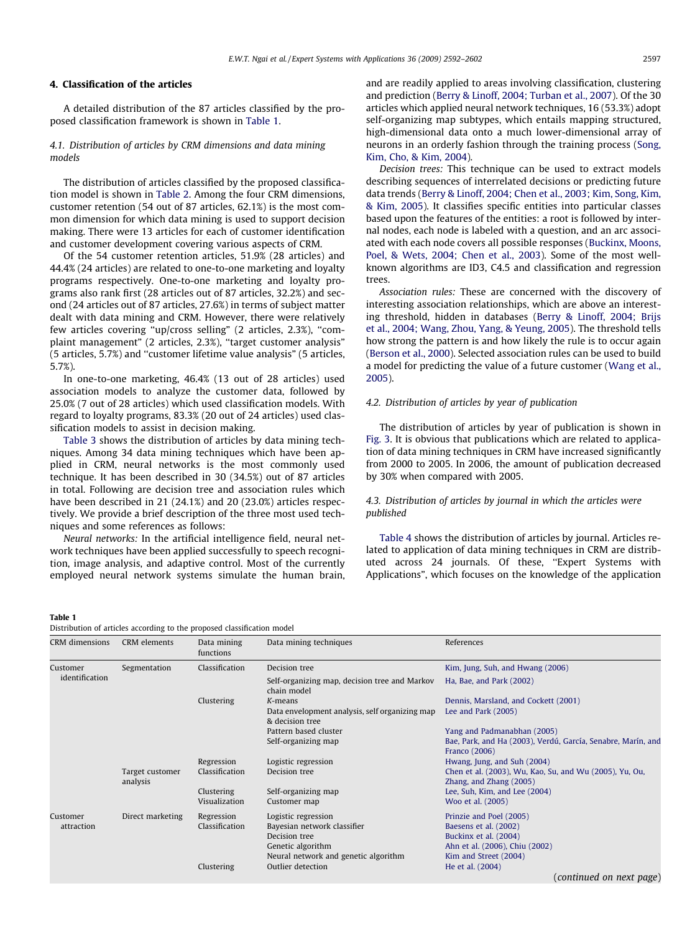# 4. Classification of the articles

A detailed distribution of the 87 articles classified by the proposed classification framework is shown in Table 1.

# 4.1. Distribution of articles by CRM dimensions and data mining models

The distribution of articles classified by the proposed classification model is shown in [Table 2.](#page-7-0) Among the four CRM dimensions, customer retention (54 out of 87 articles, 62.1%) is the most common dimension for which data mining is used to support decision making. There were 13 articles for each of customer identification and customer development covering various aspects of CRM.

Of the 54 customer retention articles, 51.9% (28 articles) and 44.4% (24 articles) are related to one-to-one marketing and loyalty programs respectively. One-to-one marketing and loyalty programs also rank first (28 articles out of 87 articles, 32.2%) and second (24 articles out of 87 articles, 27.6%) in terms of subject matter dealt with data mining and CRM. However, there were relatively few articles covering ''up/cross selling" (2 articles, 2.3%), ''complaint management" (2 articles, 2.3%), ''target customer analysis" (5 articles, 5.7%) and ''customer lifetime value analysis" (5 articles, 5.7%).

In one-to-one marketing, 46.4% (13 out of 28 articles) used association models to analyze the customer data, followed by 25.0% (7 out of 28 articles) which used classification models. With regard to loyalty programs, 83.3% (20 out of 24 articles) used classification models to assist in decision making.

[Table 3](#page-7-0) shows the distribution of articles by data mining techniques. Among 34 data mining techniques which have been applied in CRM, neural networks is the most commonly used technique. It has been described in 30 (34.5%) out of 87 articles in total. Following are decision tree and association rules which have been described in 21 (24.1%) and 20 (23.0%) articles respectively. We provide a brief description of the three most used techniques and some references as follows:

Neural networks: In the artificial intelligence field, neural network techniques have been applied successfully to speech recognition, image analysis, and adaptive control. Most of the currently employed neural network systems simulate the human brain, and are readily applied to areas involving classification, clustering and prediction ([Berry & Linoff, 2004; Turban et al., 2007](#page-8-0)). Of the 30 articles which applied neural network techniques, 16 (53.3%) adopt self-organizing map subtypes, which entails mapping structured, high-dimensional data onto a much lower-dimensional array of neurons in an orderly fashion through the training process [\(Song,](#page-9-0) [Kim, Cho, & Kim, 2004](#page-9-0)).

Decision trees: This technique can be used to extract models describing sequences of interrelated decisions or predicting future data trends ([Berry & Linoff, 2004; Chen et al., 2003; Kim, Song, Kim,](#page-8-0) [& Kim, 2005](#page-8-0)). It classifies specific entities into particular classes based upon the features of the entities: a root is followed by internal nodes, each node is labeled with a question, and an arc associated with each node covers all possible responses [\(Buckinx, Moons,](#page-8-0) [Poel, & Wets, 2004; Chen et al., 2003](#page-8-0)). Some of the most wellknown algorithms are ID3, C4.5 and classification and regression trees.

Association rules: These are concerned with the discovery of interesting association relationships, which are above an interesting threshold, hidden in databases ([Berry & Linoff, 2004; Brijs](#page-8-0) [et al., 2004; Wang, Zhou, Yang, & Yeung, 2005](#page-8-0)). The threshold tells how strong the pattern is and how likely the rule is to occur again ([Berson et al., 2000\)](#page-8-0). Selected association rules can be used to build a model for predicting the value of a future customer ([Wang et al.,](#page-10-0) [2005](#page-10-0)).

## 4.2. Distribution of articles by year of publication

The distribution of articles by year of publication is shown in [Fig. 3.](#page-7-0) It is obvious that publications which are related to application of data mining techniques in CRM have increased significantly from 2000 to 2005. In 2006, the amount of publication decreased by 30% when compared with 2005.

# 4.3. Distribution of articles by journal in which the articles were published

[Table 4](#page-8-0) shows the distribution of articles by journal. Articles related to application of data mining techniques in CRM are distributed across 24 journals. Of these, ''Expert Systems with Applications", which focuses on the knowledge of the application

### Table 1

| Distribution of articles according to the proposed classification model |  |  |  |  |
|-------------------------------------------------------------------------|--|--|--|--|
|-------------------------------------------------------------------------|--|--|--|--|

| <b>CRM</b> dimensions | CRM elements                | Data mining<br>functions | Data mining techniques                                            | References                                                                         |
|-----------------------|-----------------------------|--------------------------|-------------------------------------------------------------------|------------------------------------------------------------------------------------|
| Customer              | Segmentation                | Classification           | Decision tree                                                     | Kim, Jung, Suh, and Hwang (2006)                                                   |
| identification        |                             |                          | Self-organizing map, decision tree and Markov<br>chain model      | Ha, Bae, and Park (2002)                                                           |
|                       |                             | Clustering               | K-means                                                           | Dennis, Marsland, and Cockett (2001)                                               |
|                       |                             |                          | Data envelopment analysis, self organizing map<br>& decision tree | Lee and Park $(2005)$                                                              |
|                       |                             |                          | Pattern based cluster                                             | Yang and Padmanabhan (2005)                                                        |
|                       |                             |                          | Self-organizing map                                               | Bae, Park, and Ha (2003), Verdú, García, Senabre, Marín, and<br>Franco (2006)      |
|                       |                             | Regression               | Logistic regression                                               | Hwang, Jung, and Suh (2004)                                                        |
|                       | Target customer<br>analysis | Classification           | Decision tree                                                     | Chen et al. (2003), Wu, Kao, Su, and Wu (2005), Yu, Ou,<br>Zhang, and Zhang (2005) |
|                       |                             | Clustering               | Self-organizing map                                               | Lee, Suh, Kim, and Lee (2004)                                                      |
|                       |                             | Visualization            | Customer map                                                      | Woo et al. (2005)                                                                  |
| Customer              | Direct marketing            | Regression               | Logistic regression                                               | Prinzie and Poel (2005)                                                            |
| attraction            |                             | Classification           | Bayesian network classifier                                       | Baesens et al. (2002)                                                              |
|                       |                             |                          | Decision tree                                                     | Buckinx et al. (2004)                                                              |
|                       |                             |                          | Genetic algorithm                                                 | Ahn et al. (2006), Chiu (2002)                                                     |
|                       |                             |                          | Neural network and genetic algorithm                              | Kim and Street (2004)                                                              |
|                       |                             | Clustering               | Outlier detection                                                 | He et al. (2004)                                                                   |
|                       |                             |                          |                                                                   | (continued on next page)                                                           |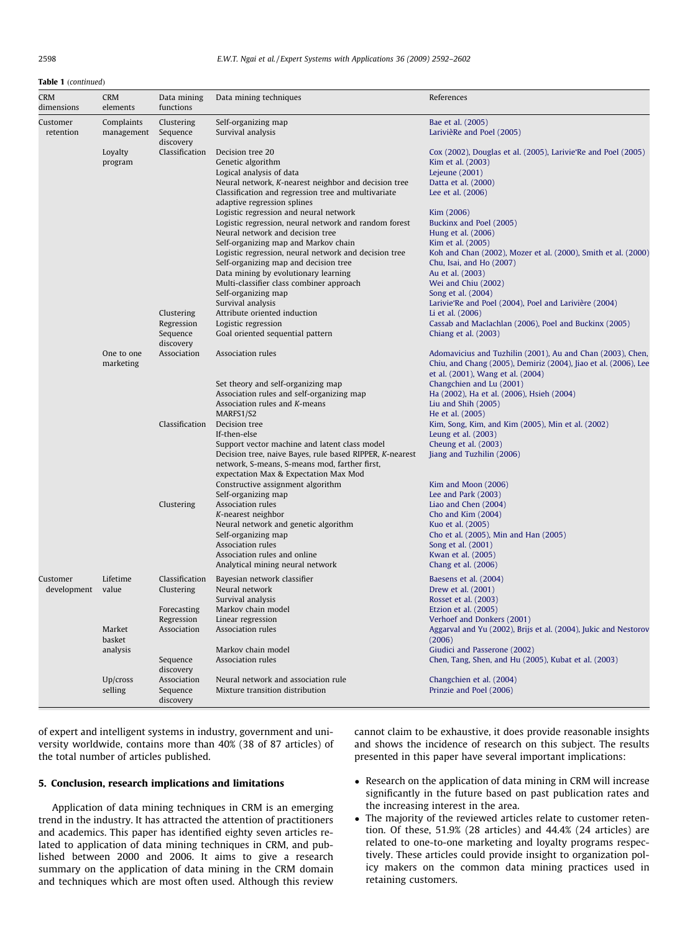#### Table 1 (continued)

| <b>CRM</b><br>dimensions | <b>CRM</b><br>elements | Data mining<br>functions | Data mining techniques                                                             | References                                                                                           |
|--------------------------|------------------------|--------------------------|------------------------------------------------------------------------------------|------------------------------------------------------------------------------------------------------|
| Customer                 | Complaints             | Clustering               | Self-organizing map                                                                | Bae et al. (2005)                                                                                    |
| retention                | management             | Sequence<br>discovery    | Survival analysis                                                                  | LarivièRe and Poel (2005)                                                                            |
|                          | Loyalty                | Classification           | Decision tree 20                                                                   | Cox (2002), Douglas et al. (2005), Larivie'Re and Poel (2005)                                        |
|                          | program                |                          | Genetic algorithm                                                                  | Kim et al. (2003)                                                                                    |
|                          |                        |                          | Logical analysis of data                                                           | Lejeune $(2001)$                                                                                     |
|                          |                        |                          | Neural network, K-nearest neighbor and decision tree                               | Datta et al. (2000)                                                                                  |
|                          |                        |                          | Classification and regression tree and multivariate<br>adaptive regression splines | Lee et al. (2006)                                                                                    |
|                          |                        |                          | Logistic regression and neural network                                             | Kim (2006)                                                                                           |
|                          |                        |                          | Logistic regression, neural network and random forest                              | Buckinx and Poel (2005)                                                                              |
|                          |                        |                          | Neural network and decision tree                                                   | Hung et al. (2006)                                                                                   |
|                          |                        |                          | Self-organizing map and Markov chain                                               | Kim et al. (2005)                                                                                    |
|                          |                        |                          | Logistic regression, neural network and decision tree                              | Koh and Chan (2002), Mozer et al. (2000), Smith et al. (2000)                                        |
|                          |                        |                          | Self-organizing map and decision tree                                              | Chu, Isai, and Ho (2007)                                                                             |
|                          |                        |                          | Data mining by evolutionary learning                                               | Au et al. (2003)                                                                                     |
|                          |                        |                          | Multi-classifier class combiner approach<br>Self-organizing map                    | Wei and Chiu (2002)<br>Song et al. (2004)                                                            |
|                          |                        |                          | Survival analysis                                                                  | Larivie'Re and Poel (2004), Poel and Larivière (2004)                                                |
|                          |                        | Clustering               | Attribute oriented induction                                                       | Li et al. (2006)                                                                                     |
|                          |                        | Regression               | Logistic regression                                                                | Cassab and Maclachlan (2006), Poel and Buckinx (2005)                                                |
|                          |                        | Sequence                 | Goal oriented sequential pattern                                                   | Chiang et al. (2003)                                                                                 |
|                          |                        | discovery                |                                                                                    |                                                                                                      |
|                          | One to one             | Association              | Association rules                                                                  | Adomavicius and Tuzhilin (2001), Au and Chan (2003), Chen,                                           |
|                          | marketing              |                          |                                                                                    | Chiu, and Chang (2005), Demiriz (2004), Jiao et al. (2006), Lee<br>et al. (2001), Wang et al. (2004) |
|                          |                        |                          | Set theory and self-organizing map                                                 | Changchien and Lu (2001)                                                                             |
|                          |                        |                          | Association rules and self-organizing map                                          | Ha (2002), Ha et al. (2006), Hsieh (2004)                                                            |
|                          |                        |                          | Association rules and K-means                                                      | Liu and Shih $(2005)$                                                                                |
|                          |                        |                          | MARFS1/S2                                                                          | He et al. (2005)                                                                                     |
|                          |                        | Classification           | Decision tree                                                                      | Kim, Song, Kim, and Kim (2005), Min et al. (2002)                                                    |
|                          |                        |                          | If-then-else<br>Support vector machine and latent class model                      | Leung et al. (2003)                                                                                  |
|                          |                        |                          | Decision tree, naive Bayes, rule based RIPPER, K-nearest                           | Cheung et al. (2003)<br>Jiang and Tuzhilin (2006)                                                    |
|                          |                        |                          | network, S-means, S-means mod, farther first,                                      |                                                                                                      |
|                          |                        |                          | expectation Max & Expectation Max Mod                                              |                                                                                                      |
|                          |                        |                          | Constructive assignment algorithm                                                  | Kim and Moon (2006)                                                                                  |
|                          |                        |                          | Self-organizing map                                                                | Lee and Park (2003)                                                                                  |
|                          |                        | Clustering               | Association rules                                                                  | Liao and Chen (2004)                                                                                 |
|                          |                        |                          | K-nearest neighbor<br>Neural network and genetic algorithm                         | Cho and Kim $(2004)$<br>Kuo et al. (2005)                                                            |
|                          |                        |                          | Self-organizing map                                                                | Cho et al. (2005), Min and Han (2005)                                                                |
|                          |                        |                          | Association rules                                                                  | Song et al. (2001)                                                                                   |
|                          |                        |                          | Association rules and online                                                       | Kwan et al. (2005)                                                                                   |
|                          |                        |                          | Analytical mining neural network                                                   | Chang et al. (2006)                                                                                  |
| Customer                 | Lifetime               | Classification           | Bayesian network classifier                                                        | Baesens et al. (2004)                                                                                |
| development              | value                  | Clustering               | Neural network                                                                     | Drew et al. (2001)                                                                                   |
|                          |                        |                          | Survival analysis                                                                  | Rosset et al. (2003)                                                                                 |
|                          |                        | Forecasting              | Markov chain model                                                                 | Etzion et al. (2005)                                                                                 |
|                          |                        | Regression               | Linear regression                                                                  | Verhoef and Donkers (2001)                                                                           |
|                          | Market<br>basket       | Association              | Association rules                                                                  | Aggarval and Yu (2002), Brijs et al. (2004), Jukic and Nestorov<br>(2006)                            |
|                          | analysis               |                          | Markov chain model                                                                 | Giudici and Passerone (2002)                                                                         |
|                          |                        | Sequence<br>discovery    | Association rules                                                                  | Chen, Tang, Shen, and Hu (2005), Kubat et al. (2003)                                                 |
|                          | Up/cross               | Association              | Neural network and association rule                                                | Changchien et al. (2004)                                                                             |
|                          | selling                | Sequence<br>discovery    | Mixture transition distribution                                                    | Prinzie and Poel (2006)                                                                              |

of expert and intelligent systems in industry, government and university worldwide, contains more than 40% (38 of 87 articles) of the total number of articles published.

# 5. Conclusion, research implications and limitations

Application of data mining techniques in CRM is an emerging trend in the industry. It has attracted the attention of practitioners and academics. This paper has identified eighty seven articles related to application of data mining techniques in CRM, and published between 2000 and 2006. It aims to give a research summary on the application of data mining in the CRM domain and techniques which are most often used. Although this review cannot claim to be exhaustive, it does provide reasonable insights and shows the incidence of research on this subject. The results presented in this paper have several important implications:

- Research on the application of data mining in CRM will increase significantly in the future based on past publication rates and the increasing interest in the area.
- The majority of the reviewed articles relate to customer retention. Of these, 51.9% (28 articles) and 44.4% (24 articles) are related to one-to-one marketing and loyalty programs respectively. These articles could provide insight to organization policy makers on the common data mining practices used in retaining customers.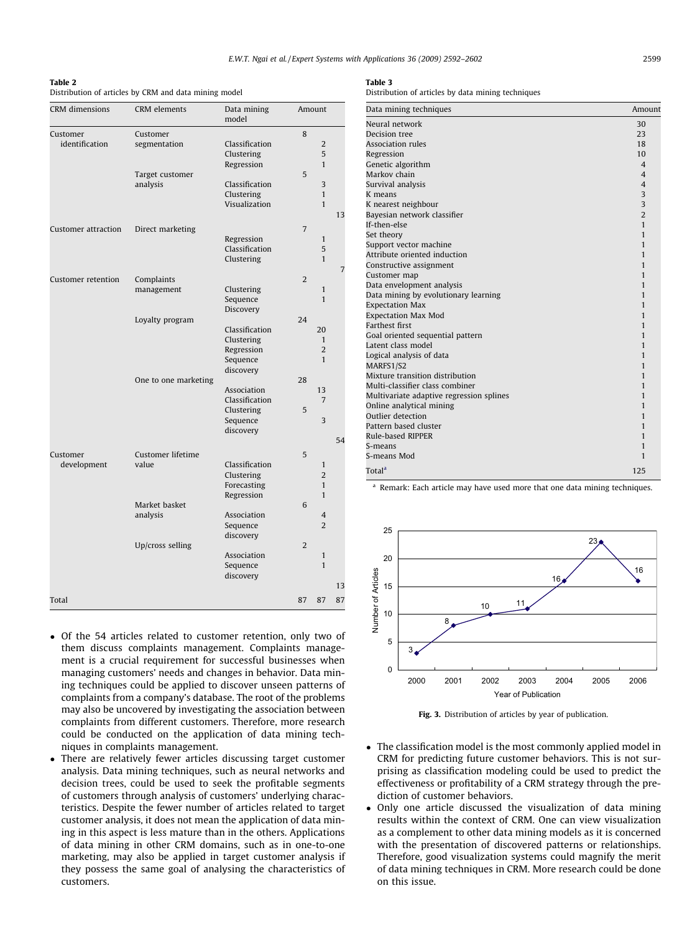#### <span id="page-7-0"></span>Table 2

| Distribution of articles by CRM and data mining model |  |  |  |  |  |  |  |  |
|-------------------------------------------------------|--|--|--|--|--|--|--|--|
|-------------------------------------------------------|--|--|--|--|--|--|--|--|

| <b>CRM</b> dimensions      | CRM elements                                            | Data mining<br>model                                                                        |                | Amount                                                                   |          |
|----------------------------|---------------------------------------------------------|---------------------------------------------------------------------------------------------|----------------|--------------------------------------------------------------------------|----------|
| Customer<br>identification | Customer<br>segmentation<br>Target customer<br>analysis | Classification<br>Clustering<br>Regression<br>Classification<br>Clustering<br>Visualization | 8<br>5         | $\overline{2}$<br>5<br>$\mathbf{1}$<br>3<br>$\mathbf{1}$<br>$\mathbf{1}$ |          |
| Customer attraction        | Direct marketing                                        | Regression<br>Classification<br>Clustering                                                  | $\overline{7}$ | $\mathbf{1}$<br>5<br>$\mathbf{1}$                                        | 13       |
| Customer retention         | Complaints<br>management                                | Clustering<br>Sequence<br>Discovery                                                         | $\overline{2}$ | $\mathbf{1}$<br>$\mathbf{1}$                                             | 7        |
|                            | Loyalty program                                         | Classification<br>Clustering<br>Regression<br>Sequence<br>discovery                         | 24             | 20<br>$\mathbf{1}$<br>$\overline{2}$<br>$\mathbf{1}$                     |          |
|                            | One to one marketing                                    | Association<br>Classification<br>Clustering<br>Sequence<br>discovery                        | 28<br>5        | 13<br>$\overline{7}$<br>3                                                |          |
| Customer<br>development    | Customer lifetime<br>value                              | Classification<br>Clustering<br>Forecasting<br>Regression                                   | 5              | $\mathbf{1}$<br>$\overline{2}$<br>$\mathbf{1}$<br>$\mathbf{1}$           | 54       |
|                            | Market basket<br>analysis                               | Association<br>Sequence<br>discovery                                                        | 6              | $\overline{4}$<br>$\overline{2}$                                         |          |
|                            | Up/cross selling                                        | Association<br>Sequence<br>discovery                                                        | $\overline{2}$ | $\mathbf{1}$<br>$\mathbf{1}$                                             |          |
| Total                      |                                                         |                                                                                             | 87             | 87                                                                       | 13<br>87 |

- Of the 54 articles related to customer retention, only two of them discuss complaints management. Complaints management is a crucial requirement for successful businesses when managing customers' needs and changes in behavior. Data mining techniques could be applied to discover unseen patterns of complaints from a company's database. The root of the problems may also be uncovered by investigating the association between complaints from different customers. Therefore, more research could be conducted on the application of data mining techniques in complaints management.
- $\bullet$  There are relatively fewer articles discussing target customer analysis. Data mining techniques, such as neural networks and decision trees, could be used to seek the profitable segments of customers through analysis of customers' underlying characteristics. Despite the fewer number of articles related to target customer analysis, it does not mean the application of data mining in this aspect is less mature than in the others. Applications of data mining in other CRM domains, such as in one-to-one marketing, may also be applied in target customer analysis if they possess the same goal of analysing the characteristics of customers.

#### Table 3

Distribution of articles by data mining techniques

| Data mining techniques                   | Amount         |
|------------------------------------------|----------------|
| Neural network                           | 30             |
| Decision tree                            | 23             |
| Association rules                        | 18             |
| Regression                               | 10             |
| Genetic algorithm                        | 4              |
| Markov chain                             | $\overline{4}$ |
| Survival analysis                        | $\overline{4}$ |
| K means                                  | 3              |
| K nearest neighbour                      | 3              |
| Bayesian network classifier              | $\overline{2}$ |
| If-then-else                             | 1              |
| Set theory                               | $\mathbf{1}$   |
| Support vector machine                   | $\mathbf{1}$   |
| Attribute oriented induction             | $\mathbf{1}$   |
| Constructive assignment                  | $\mathbf{1}$   |
| Customer map                             | 1              |
| Data envelopment analysis                | 1              |
| Data mining by evolutionary learning     | 1              |
| <b>Expectation Max</b>                   | 1              |
| <b>Expectation Max Mod</b>               | 1              |
| <b>Farthest first</b>                    | 1              |
| Goal oriented sequential pattern         | 1              |
| Latent class model                       | 1              |
| Logical analysis of data                 | 1              |
| MARFS1/S2                                | 1              |
| Mixture transition distribution          | 1              |
| Multi-classifier class combiner          | 1              |
| Multivariate adaptive regression splines | 1              |
| Online analytical mining                 | 1              |
| Outlier detection                        | 1              |
| Pattern based cluster                    | 1              |
| Rule-based RIPPER                        | 1              |
| S-means                                  | 1              |
| S-means Mod                              | 1              |
| Total <sup>a</sup>                       | 125            |

<sup>a</sup> Remark: Each article may have used more that one data mining techniques.



Fig. 3. Distribution of articles by year of publication.

- The classification model is the most commonly applied model in CRM for predicting future customer behaviors. This is not surprising as classification modeling could be used to predict the effectiveness or profitability of a CRM strategy through the prediction of customer behaviors.
- Only one article discussed the visualization of data mining results within the context of CRM. One can view visualization as a complement to other data mining models as it is concerned with the presentation of discovered patterns or relationships. Therefore, good visualization systems could magnify the merit of data mining techniques in CRM. More research could be done on this issue.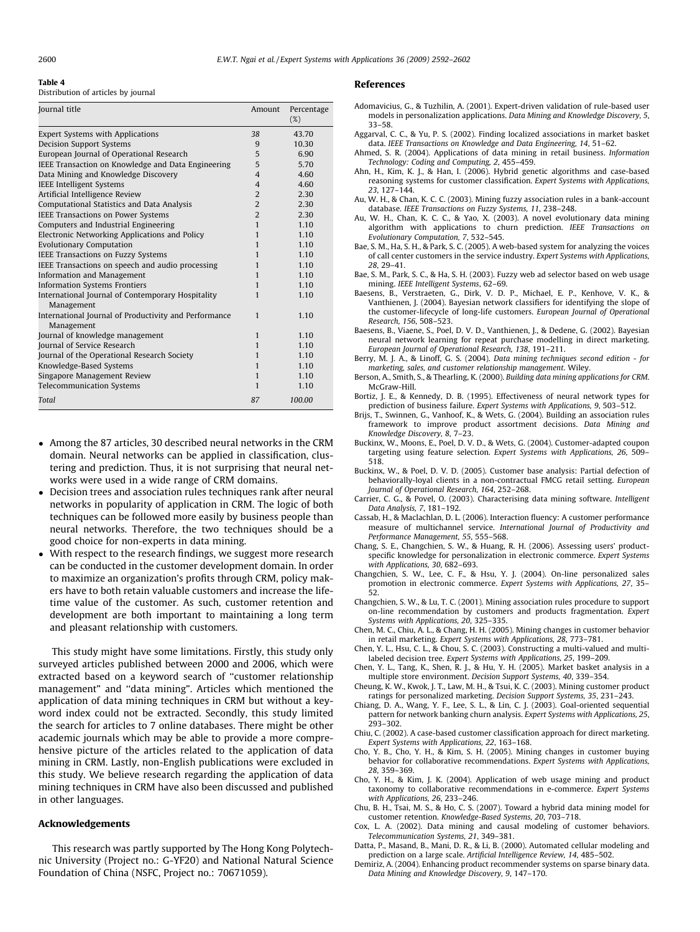#### <span id="page-8-0"></span>Table 4

Distribution of articles by journal

| Journal title                                                   | Amount                  | Percentage |
|-----------------------------------------------------------------|-------------------------|------------|
|                                                                 |                         | $(\%)$     |
| <b>Expert Systems with Applications</b>                         | 38                      | 43.70      |
| <b>Decision Support Systems</b>                                 | 9                       | 10.30      |
| European Journal of Operational Research                        | 5                       | 6.90       |
| IEEE Transaction on Knowledge and Data Engineering              | 5                       | 5.70       |
| Data Mining and Knowledge Discovery                             | $\overline{\mathbf{4}}$ | 4.60       |
| <b>IEEE Intelligent Systems</b>                                 | $\overline{4}$          | 4.60       |
| Artificial Intelligence Review                                  | $\overline{2}$          | 2.30       |
| Computational Statistics and Data Analysis                      | $\overline{2}$          | 2.30       |
| IEEE Transactions on Power Systems                              | $\overline{2}$          | 2.30       |
| Computers and Industrial Engineering                            | $\mathbf{1}$            | 1.10       |
| Electronic Networking Applications and Policy                   | 1                       | 1.10       |
| <b>Evolutionary Computation</b>                                 | 1                       | 1.10       |
| <b>IEEE Transactions on Fuzzy Systems</b>                       | 1                       | 1.10       |
| IEEE Transactions on speech and audio processing                | $\mathbf{1}$            | 1.10       |
| Information and Management                                      | $\mathbf{1}$            | 1.10       |
| <b>Information Systems Frontiers</b>                            | $\mathbf{1}$            | 1.10       |
| International Journal of Contemporary Hospitality<br>Management | 1                       | 1.10       |
| International Journal of Productivity and Performance           | $\mathbf{1}$            | 1.10       |
| Management                                                      |                         |            |
| Journal of knowledge management                                 | $\mathbf{1}$            | 1.10       |
| Journal of Service Research                                     | $\mathbf{1}$            | 1.10       |
| Journal of the Operational Research Society                     | $\mathbf{1}$            | 1.10       |
| Knowledge-Based Systems                                         | $\mathbf{1}$            | 1.10       |
| Singapore Management Review                                     | $\mathbf{1}$            | 1.10       |
| <b>Telecommunication Systems</b>                                | $\mathbf{1}$            | 1.10       |
| Total                                                           | 87                      | 100.00     |

- Among the 87 articles, 30 described neural networks in the CRM domain. Neural networks can be applied in classification, clustering and prediction. Thus, it is not surprising that neural networks were used in a wide range of CRM domains.
- Decision trees and association rules techniques rank after neural networks in popularity of application in CRM. The logic of both techniques can be followed more easily by business people than neural networks. Therefore, the two techniques should be a good choice for non-experts in data mining.
- With respect to the research findings, we suggest more research can be conducted in the customer development domain. In order to maximize an organization's profits through CRM, policy makers have to both retain valuable customers and increase the lifetime value of the customer. As such, customer retention and development are both important to maintaining a long term and pleasant relationship with customers.

This study might have some limitations. Firstly, this study only surveyed articles published between 2000 and 2006, which were extracted based on a keyword search of ''customer relationship management" and ''data mining". Articles which mentioned the application of data mining techniques in CRM but without a keyword index could not be extracted. Secondly, this study limited the search for articles to 7 online databases. There might be other academic journals which may be able to provide a more comprehensive picture of the articles related to the application of data mining in CRM. Lastly, non-English publications were excluded in this study. We believe research regarding the application of data mining techniques in CRM have also been discussed and published in other languages.

#### Acknowledgements

This research was partly supported by The Hong Kong Polytechnic University (Project no.: G-YF20) and National Natural Science Foundation of China (NSFC, Project no.: 70671059).

### References

- Adomavicius, G., & Tuzhilin, A. (2001). Expert-driven validation of rule-based user models in personalization applications. Data Mining and Knowledge Discovery, 5, 33–58.
- Aggarval, C. C., & Yu, P. S. (2002). Finding localized associations in market basket data. IEEE Transactions on Knowledge and Data Engineering, 14, 51–62.
- Ahmed, S. R. (2004). Applications of data mining in retail business. Information Technology: Coding and Computing, 2, 455–459.
- Ahn, H., Kim, K. J., & Han, I. (2006). Hybrid genetic algorithms and case-based reasoning systems for customer classification. Expert Systems with Applications, 23, 127–144.
- Au, W. H., & Chan, K. C. C. (2003). Mining fuzzy association rules in a bank-account database. IEEE Transactions on Fuzzy Systems, 11, 238–248.
- Au, W. H., Chan, K. C. C., & Yao, X. (2003). A novel evolutionary data mining algorithm with applications to churn prediction. IEEE Transactions on Evolutionary Computation, 7, 532–545.
- Bae, S. M., Ha, S. H., & Park, S. C. (2005). A web-based system for analyzing the voices of call center customers in the service industry. Expert Systems with Applications, 28, 29–41.
- Bae, S. M., Park, S. C., & Ha, S. H. (2003). Fuzzy web ad selector based on web usage mining. IEEE Intelligent Systems, 62–69.
- Baesens, B., Verstraeten, G., Dirk, V. D. P., Michael, E. P., Kenhove, V. K., & Vanthienen, J. (2004). Bayesian network classifiers for identifying the slope of the customer-lifecycle of long-life customers. European Journal of Operational Research, 156, 508–523.
- Baesens, B., Viaene, S., Poel, D. V. D., Vanthienen, J., & Dedene, G. (2002). Bayesian neural network learning for repeat purchase modelling in direct marketing. European Journal of Operational Research, 138, 191–211.
- Berry, M. J. A., & Linoff, G. S. (2004). Data mining techniques second edition for marketing, sales, and customer relationship management. Wiley.
- Berson, A., Smith, S., & Thearling, K. (2000). Building data mining applications for CRM. McGraw-Hill.
- Bortiz, J. E., & Kennedy, D. B. (1995). Effectiveness of neural network types for prediction of business failure. Expert Systems with Applications, 9, 503–512.
- Brijs, T., Swinnen, G., Vanhoof, K., & Wets, G. (2004). Building an association rules framework to improve product assortment decisions. Data Mining and Knowledge Discovery, 8, 7–23.
- Buckinx, W., Moons, E., Poel, D. V. D., & Wets, G. (2004). Customer-adapted coupon targeting using feature selection. Expert Systems with Applications, 26, 509– 518.
- Buckinx, W., & Poel, D. V. D. (2005). Customer base analysis: Partial defection of behaviorally-loyal clients in a non-contractual FMCG retail setting. European Journal of Operational Research, 164, 252–268.
- Carrier, C. G., & Povel, O. (2003). Characterising data mining software. Intelligent Data Analysis, 7, 181–192.
- Cassab, H., & Maclachlan, D. L. (2006). Interaction fluency: A customer performance measure of multichannel service. International Journal of Productivity and Performance Management, 55, 555–568.
- Chang, S. E., Changchien, S. W., & Huang, R. H. (2006). Assessing users' productspecific knowledge for personalization in electronic commerce. Expert Systems with Applications, 30, 682–693.
- Changchien, S. W., Lee, C. F., & Hsu, Y. J. (2004). On-line personalized sales promotion in electronic commerce. Expert Systems with Applications, 27, 35– 52.
- Changchien, S. W., & Lu, T. C. (2001). Mining association rules procedure to support on-line recommendation by customers and products fragmentation. Expert Systems with Applications, 20, 325–335.
- Chen, M. C., Chiu, A. L., & Chang, H. H. (2005). Mining changes in customer behavior in retail marketing. Expert Systems with Applications, 28, 773–781.
- Chen, Y. L., Hsu, C. L., & Chou, S. C. (2003). Constructing a multi-valued and multilabeled decision tree. Expert Systems with Applications, 25, 199–209.
- Chen, Y. L., Tang, K., Shen, R. J., & Hu, Y. H. (2005). Market basket analysis in a multiple store environment. Decision Support Systems, 40, 339–354.
- Cheung, K. W., Kwok, J. T., Law, M. H., & Tsui, K. C. (2003). Mining customer product ratings for personalized marketing. Decision Support Systems, 35, 231–243.
- Chiang, D. A., Wang, Y. F., Lee, S. L., & Lin, C. J. (2003). Goal-oriented sequential pattern for network banking churn analysis. Expert Systems with Applications, 25, 293–302.
- Chiu, C. (2002). A case-based customer classification approach for direct marketing. Expert Systems with Applications, 22, 163–168.
- Cho, Y. B., Cho, Y. H., & Kim, S. H. (2005). Mining changes in customer buying behavior for collaborative recommendations. Expert Systems with Applications, 28, 359–369.
- Cho, Y. H., & Kim, J. K. (2004). Application of web usage mining and product taxonomy to collaborative recommendations in e-commerce. Expert Systems with Applications, 26, 233–246.
- Chu, B. H., Tsai, M. S., & Ho, C. S. (2007). Toward a hybrid data mining model for customer retention. Knowledge-Based Systems, 20, 703–718.
- Cox, L. A. (2002). Data mining and causal modeling of customer behaviors. Telecommunication Systems, 21, 349–381.
- Datta, P., Masand, B., Mani, D. R., & Li, B. (2000). Automated cellular modeling and prediction on a large scale. Artificial Intelligence Review, 14, 485–502.
- Demiriz, A. (2004). Enhancing product recommender systems on sparse binary data. Data Mining and Knowledge Discovery, 9, 147–170.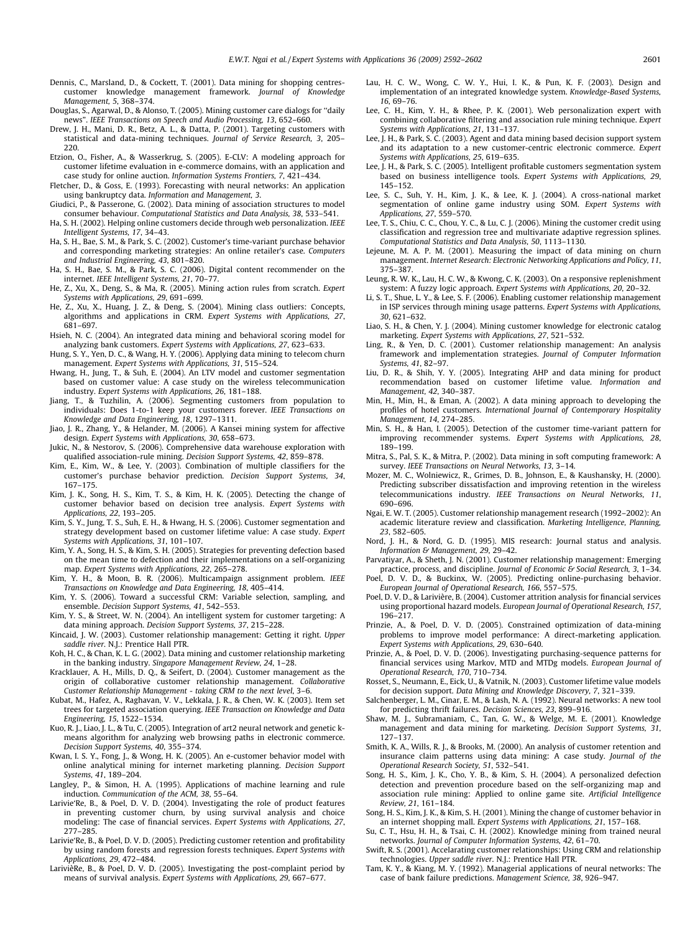- <span id="page-9-0"></span>Dennis, C., Marsland, D., & Cockett, T. (2001). Data mining for shopping centrescustomer knowledge management framework. Journal of Knowledge Management, 5, 368–374.
- Douglas, S., Agarwal, D., & Alonso, T. (2005). Mining customer care dialogs for ''daily news". IEEE Transactions on Speech and Audio Processing, 13, 652–660.
- Drew, J. H., Mani, D. R., Betz, A. L., & Datta, P. (2001). Targeting customers with statistical and data-mining techniques. Journal of Service Research, 3, 205– 220.
- Etzion, O., Fisher, A., & Wasserkrug, S. (2005). E-CLV: A modeling approach for customer lifetime evaluation in e-commerce domains, with an application and case study for online auction. Information Systems Frontiers, 7, 421–434.
- Fletcher, D., & Goss, E. (1993). Forecasting with neural networks: An application using bankruptcy data. Information and Management, 3.
- Giudici, P., & Passerone, G. (2002). Data mining of association structures to model consumer behaviour. Computational Statistics and Data Analysis, 38, 533–541.
- Ha, S. H. (2002). Helping online customers decide through web personalization. IEEE Intelligent Systems, 17, 34–43.
- Ha, S. H., Bae, S. M., & Park, S. C. (2002). Customer's time-variant purchase behavior and corresponding marketing strategies: An online retailer's case. Computers and Industrial Engineering, 43, 801–820.
- Ha, S. H., Bae, S. M., & Park, S. C. (2006). Digital content recommender on the internet. IEEE Intelligent Systems, 21, 70–77.
- He, Z., Xu, X., Deng, S., & Ma, R. (2005). Mining action rules from scratch. Expert Systems with Applications, 29, 691–699.
- He, Z., Xu, X., Huang, J. Z., & Deng, S. (2004). Mining class outliers: Concepts, algorithms and applications in CRM. Expert Systems with Applications, 27, 681–697.
- Hsieh, N. C. (2004). An integrated data mining and behavioral scoring model for analyzing bank customers. Expert Systems with Applications, 27, 623–633.
- Hung, S. Y., Yen, D. C., & Wang, H. Y. (2006). Applying data mining to telecom churn management. Expert Systems with Applications, 31, 515–524.
- Hwang, H., Jung, T., & Suh, E. (2004). An LTV model and customer segmentation based on customer value: A case study on the wireless telecommunication industry. Expert Systems with Applications, 26, 181–188.
- Jiang, T., & Tuzhilin, A. (2006). Segmenting customers from population to individuals: Does 1-to-1 keep your customers forever. IEEE Transactions on Knowledge and Data Engineering, 18, 1297–1311.
- Jiao, J. R., Zhang, Y., & Helander, M. (2006). A Kansei mining system for affective design. Expert Systems with Applications, 30, 658–673.
- Jukic, N., & Nestorov, S. (2006). Comprehensive data warehouse exploration with qualified association-rule mining. Decision Support Systems, 42, 859–878.
- Kim, E., Kim, W., & Lee, Y. (2003). Combination of multiple classifiers for the customer's purchase behavior prediction. Decision Support Systems, 34, 167–175.
- Kim, J. K., Song, H. S., Kim, T. S., & Kim, H. K. (2005). Detecting the change of customer behavior based on decision tree analysis. Expert Systems with Applications, 22, 193–205.
- Kim, S. Y., Jung, T. S., Suh, E. H., & Hwang, H. S. (2006). Customer segmentation and strategy development based on customer lifetime value: A case study. Expert Systems with Applications, 31, 101–107.
- Kim, Y. A., Song, H. S., & Kim, S. H. (2005). Strategies for preventing defection based on the mean time to defection and their implementations on a self-organizing map. Expert Systems with Applications, 22, 265–278.
- Kim, Y. H., & Moon, B. R. (2006). Multicampaign assignment problem. IEEE Transactions on Knowledge and Data Engineering, 18, 405–414.
- Kim, Y. S. (2006). Toward a successful CRM: Variable selection, sampling, and ensemble. Decision Support Systems, 41, 542–553.
- Kim, Y. S., & Street, W. N. (2004). An intelligent system for customer targeting: A data mining approach. Decision Support Systems, 37, 215–228.
- Kincaid, J. W. (2003). Customer relationship management: Getting it right. Upper saddle river. N.J.: Prentice Hall PTR.
- Koh, H. C., & Chan, K. L. G. (2002). Data mining and customer relationship marketing in the banking industry. Singapore Management Review, 24, 1–28.
- Kracklauer, A. H., Mills, D. Q., & Seifert, D. (2004). Customer management as the origin of collaborative customer relationship management. Collaborative Customer Relationship Management - taking CRM to the next level, 3–6.
- Kubat, M., Hafez, A., Raghavan, V. V., Lekkala, J. R., & Chen, W. K. (2003). Item set trees for targeted association querying. IEEE Transaction on Knowledge and Data Engineering, 15, 1522–1534.
- Kuo, R. J., Liao, J. L., & Tu, C. (2005). Integration of art2 neural network and genetic kmeans algorithm for analyzing web browsing paths in electronic commerce. Decision Support Systems, 40, 355–374.
- Kwan, I. S. Y., Fong, J., & Wong, H. K. (2005). An e-customer behavior model with online analytical mining for internet marketing planning. Decision Support Systems, 41, 189–204.
- Langley, P., & Simon, H. A. (1995). Applications of machine learning and rule induction. Communication of the ACM, 38, 55–64.
- Larivie'Re, B., & Poel, D. V. D. (2004). Investigating the role of product features in preventing customer churn, by using survival analysis and choice modeling: The case of financial services. Expert Systems with Applications, 27, 277–285.
- Larivie'Re, B., & Poel, D. V. D. (2005). Predicting customer retention and profitability by using random forests and regression forests techniques. Expert Systems with Applications, 29, 472–484.
- LarivièRe, B., & Poel, D. V. D. (2005). Investigating the post-complaint period by means of survival analysis. Expert Systems with Applications, 29, 667–677.
- Lau, H. C. W., Wong, C. W. Y., Hui, I. K., & Pun, K. F. (2003). Design and implementation of an integrated knowledge system. Knowledge-Based Systems, 16, 69–76.
- Lee, C. H., Kim, Y. H., & Rhee, P. K. (2001). Web personalization expert with combining collaborative filtering and association rule mining technique. Expert Systems with Applications, 21, 131–137.
- Lee, J. H., & Park, S. C. (2003). Agent and data mining based decision support system and its adaptation to a new customer-centric electronic commerce. Expert Systems with Applications, 25, 619–635.
- Lee, J. H., & Park, S. C. (2005). Intelligent profitable customers segmentation system based on business intelligence tools. Expert Systems with Applications, 29, 145–152.
- Lee, S. C., Suh, Y. H., Kim, J. K., & Lee, K. J. (2004). A cross-national market segmentation of online game industry using SOM. Expert Systems with Applications, 27, 559–570.
- Lee, T. S., Chiu, C. C., Chou, Y. C., & Lu, C. J. (2006). Mining the customer credit using classification and regression tree and multivariate adaptive regression splines. Computational Statistics and Data Analysis, 50, 1113–1130.
- Lejeune, M. A. P. M. (2001). Measuring the impact of data mining on churn management. Internet Research: Electronic Networking Applications and Policy, 11, 375–387.
- Leung, R. W. K., Lau, H. C. W., & Kwong, C. K. (2003). On a responsive replenishment system: A fuzzy logic approach. Expert Systems with Applications, 20, 20–32.
- Li, S. T., Shue, L. Y., & Lee, S. F. (2006). Enabling customer relationship management in ISP services through mining usage patterns. Expert Systems with Applications, 30, 621–632.
- Liao, S. H., & Chen, Y. J. (2004). Mining customer knowledge for electronic catalog marketing. Expert Systems with Applications, 27, 521–532.
- Ling, R., & Yen, D. C. (2001). Customer relationship management: An analysis framework and implementation strategies. Journal of Computer Information Systems, 41, 82–97.
- Liu, D. R., & Shih, Y. Y. (2005). Integrating AHP and data mining for product recommendation based on customer lifetime value. Information and Management, 42, 340–387.
- Min, H., Min, H., & Eman, A. (2002). A data mining approach to developing the profiles of hotel customers. International Journal of Contemporary Hospitality Management, 14, 274–285.
- Min, S. H., & Han, I. (2005). Detection of the customer time-variant pattern for improving recommender systems. Expert Systems with Applications, 28, 189–199.
- Mitra, S., Pal, S. K., & Mitra, P. (2002). Data mining in soft computing framework: A survey. IEEE Transactions on Neural Networks, 13, 3–14.
- Mozer, M. C., Wolniewicz, R., Grimes, D. B., Johnson, E., & Kaushansky, H. (2000). Predicting subscriber dissatisfaction and improving retention in the wireless telecommunications industry. IEEE Transactions on Neural Networks, 11, 690–696.
- Ngai, E. W. T. (2005). Customer relationship management research (1992–2002): An academic literature review and classification. Marketing Intelligence, Planning, 23, 582–605.
- Nord, J. H., & Nord, G. D. (1995). MIS research: Journal status and analysis. Information & Management, 29, 29–42.
- Parvatiyar, A., & Sheth, J. N. (2001). Customer relationship management: Emerging practice, process, and discipline. Journal of Economic & Social Research, 3, 1–34.
- Poel, D. V. D., & Buckinx, W. (2005). Predicting online-purchasing behavior. European Journal of Operational Research, 166, 557–575.
- Poel, D. V. D., & Larivière, B. (2004). Customer attrition analysis for financial services using proportional hazard models. European Journal of Operational Research, 157, 196–217.
- Prinzie, A., & Poel, D. V. D. (2005). Constrained optimization of data-mining problems to improve model performance: A direct-marketing application. Expert Systems with Applications, 29, 630–640.
- Prinzie, A., & Poel, D. V. D. (2006). Investigating purchasing-sequence patterns for financial services using Markov, MTD and MTDg models. European Journal of Operational Research, 170, 710–734.
- Rosset, S., Neumann, E., Eick, U., & Vatnik, N. (2003). Customer lifetime value models for decision support. Data Mining and Knowledge Discovery, 7, 321–339.
- Salchenberger, L. M., Cinar, E. M., & Lash, N. A. (1992). Neural networks: A new tool for predicting thrift failures. Decision Sciences, 23, 899–916.
- Shaw, M. J., Subramaniam, C., Tan, G. W., & Welge, M. E. (2001). Knowledge management and data mining for marketing. Decision Support Systems, 31, 127–137.
- Smith, K. A., Wills, R. J., & Brooks, M. (2000). An analysis of customer retention and insurance claim patterns using data mining: A case study. Journal of the Operational Research Society, 51, 532–541.
- Song, H. S., Kim, J. K., Cho, Y. B., & Kim, S. H. (2004). A personalized defection detection and prevention procedure based on the self-organizing map and association rule mining: Applied to online game site. Artificial Intelligence Review, 21, 161–184.
- Song, H. S., Kim, J. K., & Kim, S. H. (2001). Mining the change of customer behavior in an internet shopping mall. Expert Systems with Applications, 21, 157–168.
- Su, C. T., Hsu, H. H., & Tsai, C. H. (2002). Knowledge mining from trained neural networks. Journal of Computer Information Systems, 42, 61–70.
- Swift, R. S. (2001). Accelarating customer relationships: Using CRM and relationship technologies. Upper saddle river. N.J.: Prentice Hall PTR.
- Tam, K. Y., & Kiang, M. Y. (1992). Managerial applications of neural networks: The case of bank failure predictions. Management Science, 38, 926–947.